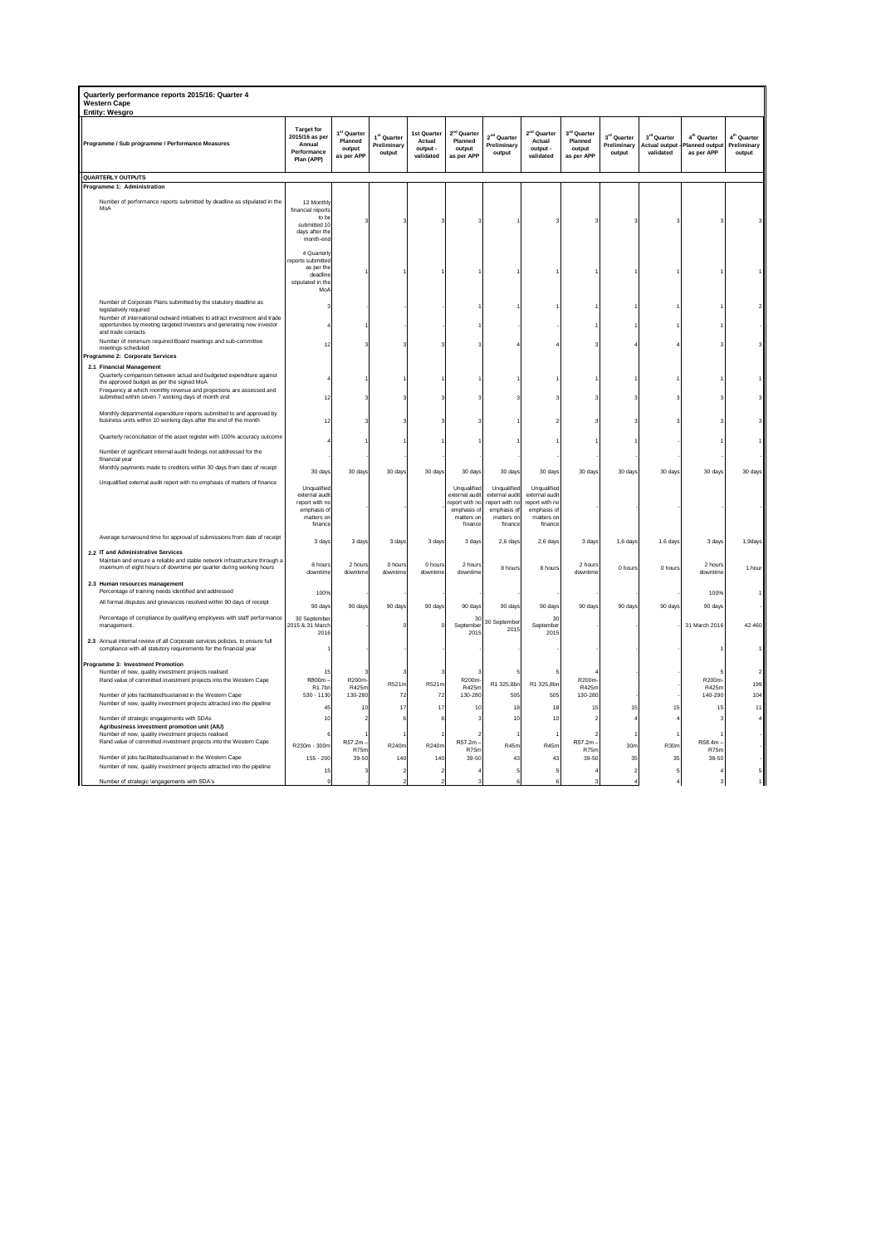| Quarterly performance reports 2015/16: Quarter 4<br>Western Cape<br><b>Entity: Wesgro</b>                                                                                                                                                            |                                                                                         |                                                            |                                                  |                                                |                                                                                        |                                                                                         |                                                                                        |                                                |                                      |                                                  |                                                         |                                                  |
|------------------------------------------------------------------------------------------------------------------------------------------------------------------------------------------------------------------------------------------------------|-----------------------------------------------------------------------------------------|------------------------------------------------------------|--------------------------------------------------|------------------------------------------------|----------------------------------------------------------------------------------------|-----------------------------------------------------------------------------------------|----------------------------------------------------------------------------------------|------------------------------------------------|--------------------------------------|--------------------------------------------------|---------------------------------------------------------|--------------------------------------------------|
| Programme / Sub programme / Performance Measures                                                                                                                                                                                                     | <b>Target for</b><br>2015/16 as per<br>Annual<br>Performance<br>Plan (APP)              | 1 <sup>st</sup> Quarter<br>Planned<br>output<br>as per APP | 1 <sup>st</sup> Quarter<br>Preliminary<br>output | Ist Quarter<br>Actual<br>output -<br>validated | 2 <sup>nd</sup> Quarter<br>Planned<br>output<br>as per APP                             | 2 <sup>nd</sup> Quarter<br>Preliminary<br>output                                        | 2 <sup>nd</sup> Quarter<br>Actual<br>output -<br>validated                             | 3rd Quarter<br>Planned<br>output<br>as per APP | 3rd Quarter<br>Preliminary<br>output | 3rd Quarter<br><b>Actual output</b><br>validated | 4 <sup>th</sup> Quarter<br>Planned output<br>as per APP | 4 <sup>th</sup> Quarter<br>Preliminary<br>output |
| QUARTERLY OUTPUTS                                                                                                                                                                                                                                    |                                                                                         |                                                            |                                                  |                                                |                                                                                        |                                                                                         |                                                                                        |                                                |                                      |                                                  |                                                         |                                                  |
| Programme 1: Administration                                                                                                                                                                                                                          |                                                                                         |                                                            |                                                  |                                                |                                                                                        |                                                                                         |                                                                                        |                                                |                                      |                                                  |                                                         |                                                  |
| Number of performance reports submitted by deadline as stipulated in the<br>MoA                                                                                                                                                                      | 12 Monthly<br>financial reports<br>to be                                                |                                                            |                                                  |                                                |                                                                                        |                                                                                         |                                                                                        |                                                |                                      |                                                  |                                                         |                                                  |
|                                                                                                                                                                                                                                                      | submitted 10<br>days after the<br>month-end<br>4 Quarterly                              |                                                            |                                                  |                                                |                                                                                        |                                                                                         |                                                                                        |                                                |                                      |                                                  |                                                         |                                                  |
|                                                                                                                                                                                                                                                      | eports submitted<br>as per the<br>deadline<br>stipulated in the<br>Mo/                  |                                                            |                                                  |                                                |                                                                                        |                                                                                         |                                                                                        |                                                |                                      |                                                  |                                                         |                                                  |
| Number of Corporate Plans submitted by the statutory deadline as<br>legislatively required<br>Number of international outward initiatives to attract investment and trade<br>opportunities by meeting targeted investors and generating new investor |                                                                                         |                                                            |                                                  |                                                |                                                                                        |                                                                                         |                                                                                        |                                                |                                      |                                                  |                                                         |                                                  |
| and trade contacts<br>Number of minimum required Board meetings and sub-committee<br>meetings scheduled                                                                                                                                              |                                                                                         |                                                            |                                                  |                                                |                                                                                        |                                                                                         |                                                                                        |                                                |                                      |                                                  |                                                         |                                                  |
| Programme 2: Corporate Services<br>2.1 Financial Management<br>Quarterly comparison between actual and budgeted expenditure against<br>the approved budget as per the signed MoA                                                                     |                                                                                         |                                                            |                                                  |                                                |                                                                                        |                                                                                         |                                                                                        |                                                |                                      |                                                  |                                                         |                                                  |
| Frequency at which monthly revenue and projections are assessed and<br>submitted within seven 7 working days of month end                                                                                                                            |                                                                                         |                                                            |                                                  |                                                |                                                                                        |                                                                                         |                                                                                        |                                                |                                      |                                                  |                                                         |                                                  |
| Monthly departmental expenditure reports submitted to and approved by<br>business units within 10 working days after the end of the month                                                                                                            | 12                                                                                      |                                                            |                                                  |                                                |                                                                                        |                                                                                         |                                                                                        |                                                |                                      |                                                  |                                                         |                                                  |
| Quarterly reconciliation of the asset register with 100% accuracy outcome<br>Number of significant internal audit findings not addressed for the                                                                                                     |                                                                                         |                                                            |                                                  |                                                |                                                                                        |                                                                                         |                                                                                        |                                                |                                      |                                                  |                                                         |                                                  |
| financial year<br>Monthly payments made to creditors within 30 days from date of receipt                                                                                                                                                             |                                                                                         |                                                            |                                                  |                                                |                                                                                        |                                                                                         |                                                                                        |                                                |                                      |                                                  |                                                         |                                                  |
| Unqualified external audit report with no emphasis of matters of finance                                                                                                                                                                             | 30 days                                                                                 | 30 days                                                    | 30 days                                          | 30 days                                        | 30 days                                                                                | 30 days                                                                                 | 30 days                                                                                | 30 days                                        | 30 days                              | 30 days                                          | 30 days                                                 | 30 days                                          |
|                                                                                                                                                                                                                                                      | Unqualified<br>external audit<br>report with no<br>emphasis of<br>matters or<br>finance |                                                            |                                                  |                                                | Unqualified<br>external audit<br>eport with no<br>emphasis of<br>matters or<br>finance | Unqualified<br>external audit<br>report with no<br>emphasis of<br>matters on<br>finance | Unqualifie<br>external audit<br>report with no<br>emphasis of<br>matters or<br>finance |                                                |                                      |                                                  |                                                         |                                                  |
| Average turnaround time for approval of submissions from date of receipt<br>2.2 IT and Administrative Services                                                                                                                                       | 3 days                                                                                  | 3 days                                                     | 3 days                                           | 3 days                                         | 3 days                                                                                 | 2,6 days                                                                                | $2,6$ day                                                                              | 3 days                                         | 1,6 days                             | 1.6 days                                         | 3 days                                                  | 1,9days                                          |
| Maintain and ensure a reliable and stable network infrastructure through a<br>maximum of eight hours of downtime per quarter during working hours                                                                                                    | 8 hours<br>downtime                                                                     | 2 hours<br>downtime                                        | 0 hours<br>downtime                              | 0 hours<br>downtime                            | 2 hours<br>downtime                                                                    | 8 hours                                                                                 | 8 hours                                                                                | 2 hours<br>downtime                            | 0 hours                              | 0 hours                                          | 2 hours<br>downtime                                     | 1 hour                                           |
| 2.3 Human resources management<br>Percentage of training needs identified and addressed                                                                                                                                                              | 100%                                                                                    |                                                            |                                                  |                                                |                                                                                        |                                                                                         |                                                                                        |                                                |                                      |                                                  | 100%                                                    |                                                  |
| All formal disputes and grievances resolved within 90 days of receipt                                                                                                                                                                                | 90 days                                                                                 | 90 days                                                    | 90 days                                          | 90 days                                        | 90 days                                                                                | 90 days                                                                                 | 90 days                                                                                | 90 days                                        | 90 days                              | 90 days                                          | 90 days                                                 |                                                  |
| Percentage of compliance by qualifying employees with staff performance<br>management.                                                                                                                                                               | 30 Sentembe<br>2015 & 31 March<br>2016                                                  |                                                            |                                                  |                                                | 31<br>September<br>2015                                                                | 30 September<br>2015                                                                    | -31<br>September<br>2015                                                               |                                                |                                      |                                                  | 31 March 2016                                           | 42 460                                           |
| 2.3 Annual internal review of all Corporate services policies, to ensure full<br>compliance with all statutory requirements for the financial year                                                                                                   |                                                                                         |                                                            |                                                  |                                                |                                                                                        |                                                                                         |                                                                                        |                                                |                                      |                                                  |                                                         |                                                  |
| Programme 3: Investment Promotion<br>Number of new, quality investment projects realised<br>Rand value of committed investment projects into the Western Cape                                                                                        | 15<br>R800m-<br>R1.7bn                                                                  | R200m-<br>R425m                                            | R521m                                            | R521m                                          | R200m<br>R425m                                                                         | R1 325,8bn                                                                              | R1 325.8b                                                                              | R200m<br>R425m                                 |                                      |                                                  | R200m<br>R425m                                          | 199                                              |
| Number of jobs facilitated/sustained in the Western Cape<br>Number of new, quality investment projects attracted into the pipeline                                                                                                                   | $530 - 1130$<br>45                                                                      | 130-280<br>10                                              | 72<br>17                                         | 72<br>17                                       | 130-280<br>10                                                                          | 505<br>18                                                                               | 505<br>18                                                                              | 130-280<br>15                                  | 15                                   | 15                                               | 140-290<br>15                                           | 104<br>11                                        |
| Number of strategic engagements with SDAs                                                                                                                                                                                                            | 10                                                                                      |                                                            |                                                  |                                                |                                                                                        | 10                                                                                      | 10                                                                                     |                                                |                                      |                                                  |                                                         |                                                  |
| Agribusiness investment promotion unit (AIU)<br>Number of new, quality investment projects realised                                                                                                                                                  |                                                                                         |                                                            |                                                  |                                                |                                                                                        |                                                                                         |                                                                                        |                                                |                                      |                                                  |                                                         |                                                  |
| Rand value of committed investment projects into the Western Cape                                                                                                                                                                                    | R230m - 300m                                                                            | R57.2m<br>R75m                                             | R240m                                            | R240m                                          | R57.2m<br>R75n                                                                         | R45m                                                                                    | R45m                                                                                   | R57.2m<br>R75n                                 | 30 <sub>m</sub>                      | R30m                                             | R58.4m<br>R75n                                          |                                                  |
| Number of jobs facilitated/sustained in the Western Cape                                                                                                                                                                                             | $155 - 200$                                                                             | 39-50                                                      | 140                                              | 140                                            | 39-50                                                                                  | 43                                                                                      | 43                                                                                     | 39-50                                          | 35                                   | 35                                               | 38-50                                                   |                                                  |
| Number of new, quality investment projects attracted into the pipeline                                                                                                                                                                               | 15                                                                                      |                                                            |                                                  |                                                |                                                                                        |                                                                                         |                                                                                        |                                                |                                      |                                                  |                                                         |                                                  |
| Number of strategic \engagements with SDA's                                                                                                                                                                                                          |                                                                                         |                                                            |                                                  |                                                |                                                                                        |                                                                                         |                                                                                        |                                                |                                      |                                                  |                                                         |                                                  |